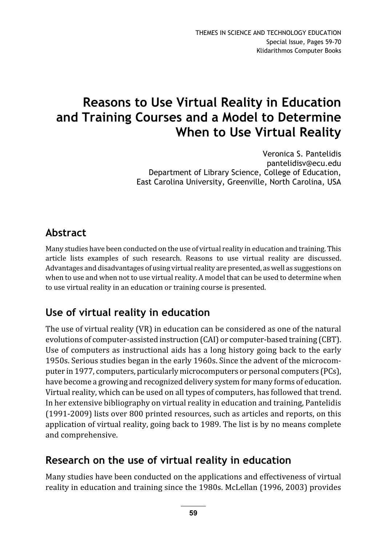# Reasons to Use Virtual Reality in Education and Training Courses and a Model to Determine When to Use Virtual Reality

Veronica S. Pantelidis pantelidisv@ecu.edu Department of Library Science, College of Education, East Carolina University, Greenville, North Carolina, USA

# Abstract

Many studies have been conducted on the use of virtual reality in education and training. This article lists examples of such research. Reasons to use virtual reality are discussed. Advantages and disadvantages of using virtual reality are presented, as well as suggestions on when to use and when not to use virtual reality. A model that can be used to determine when to use virtual reality in an education or training course is presented.

## Use of virtual reality in education

The use of virtual reality (VR) in education can be considered as one of the natural evolutions of computer-assisted instruction (CAI) or computer-based training (CBT). Use of computers as instructional aids has a long history going back to the early 1950s. Serious studies began in the early 1960s. Since the advent of the microcomputer in 1977, computers, particularly microcomputers or personal computers (PCs), have become a growing and recognized delivery system for many forms of education. Virtual reality, which can be used on all types of computers, has followed that trend. In her extensive bibliography on virtual reality in education and training, Pantelidis (1991-2009) lists over 800 printed resources, such as articles and reports, on this application of virtual reality, going back to 1989. The list is by no means complete and comprehensive.

#### Research on the use of virtual reality in education

Many studies have been conducted on the applications and effectiveness of virtual reality in education and training since the 1980s. McLellan (1996, 2003) provides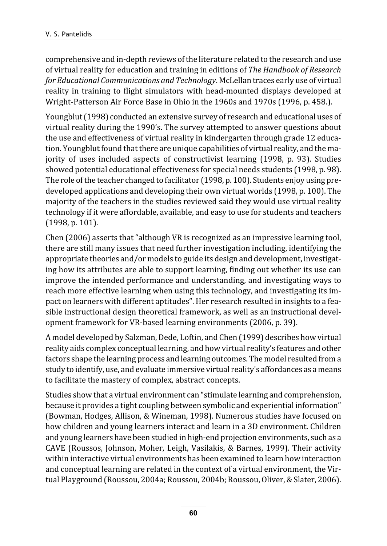comprehensive and in-depth reviews of the literature related to the research and use of virtual reality for education and training in editions of The Handbook of Research for Educational Communications and Technology. McLellan traces early use of virtual reality in training to flight simulators with head-mounted displays developed at Wright-Patterson Air Force Base in Ohio in the 1960s and 1970s (1996, p. 458.).

Youngblut (1998) conducted an extensive survey of research and educational uses of virtual reality during the 1990's. The survey attempted to answer questions about the use and effectiveness of virtual reality in kindergarten through grade 12 education. Youngblut found that there are unique capabilities of virtual reality, and the majority of uses included aspects of constructivist learning (1998, p. 93). Studies showed potential educational effectiveness for special needs students (1998, p. 98). The role of the teacher changed to facilitator (1998, p. 100). Students enjoy using predeveloped applications and developing their own virtual worlds (1998, p. 100). The majority of the teachers in the studies reviewed said they would use virtual reality technology if it were affordable, available, and easy to use for students and teachers (1998, p. 101).

Chen (2006) asserts that "although VR is recognized as an impressive learning tool, there are still many issues that need further investigation including, identifying the appropriate theories and/or models to guide its design and development, investigating how its attributes are able to support learning, finding out whether its use can improve the intended performance and understanding, and investigating ways to reach more effective learning when using this technology, and investigating its impact on learners with different aptitudes". Her research resulted in insights to a feasible instructional design theoretical framework, as well as an instructional development framework for VR-based learning environments (2006, p. 39).

A model developed by Salzman, Dede, Loftin, and Chen (1999) describes how virtual reality aids complex conceptual learning, and how virtual reality's features and other factors shape the learning process and learning outcomes. The model resulted from a study to identify, use, and evaluate immersive virtual reality's affordances as a means to facilitate the mastery of complex, abstract concepts.

Studies show that a virtual environment can "stimulate learning and comprehension, because it provides a tight coupling between symbolic and experiential information" (Bowman, Hodges, Allison, & Wineman, 1998). Numerous studies have focused on how children and young learners interact and learn in a 3D environment. Children and young learners have been studied in high-end projection environments, such as a CAVE (Roussos, Johnson, Moher, Leigh, Vasilakis, & Barnes, 1999). Their activity within interactive virtual environments has been examined to learn how interaction and conceptual learning are related in the context of a virtual environment, the Virtual Playground (Roussou, 2004a; Roussou, 2004b; Roussou, Oliver, & Slater, 2006).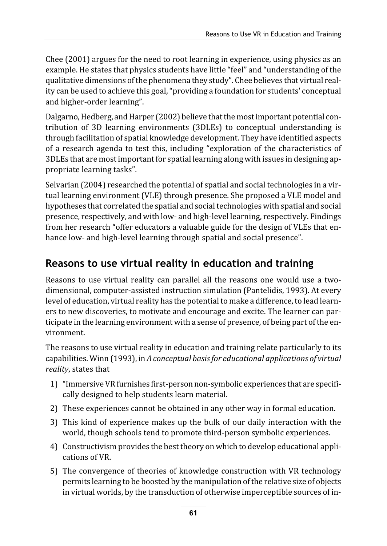Chee (2001) argues for the need to root learning in experience, using physics as an example. He states that physics students have little "feel" and "understanding of the qualitative dimensions of the phenomena they study". Chee believes that virtual reality can be used to achieve this goal, "providing a foundation for students' conceptual and higher-order learning".

Dalgarno, Hedberg, and Harper (2002) believe that the most important potential contribution of 3D learning environments (3DLEs) to conceptual understanding is through facilitation of spatial knowledge development. They have identified aspects of a research agenda to test this, including "exploration of the characteristics of 3DLEs that are most important for spatial learning along with issues in designing appropriate learning tasks".

Selvarian (2004) researched the potential of spatial and social technologies in a virtual learning environment (VLE) through presence. She proposed a VLE model and hypotheses that correlated the spatial and social technologies with spatial and social presence, respectively, and with low- and high-level learning, respectively. Findings from her research "offer educators a valuable guide for the design of VLEs that enhance low- and high-level learning through spatial and social presence".

# Reasons to use virtual reality in education and training

Reasons to use virtual reality can parallel all the reasons one would use a twodimensional, computer-assisted instruction simulation (Pantelidis, 1993). At every level of education, virtual reality has the potential to make a difference, to lead learners to new discoveries, to motivate and encourage and excite. The learner can participate in the learning environment with a sense of presence, of being part of the environment.

The reasons to use virtual reality in education and training relate particularly to its capabilities. Winn (1993), in A conceptual basis for educational applications of virtual reality, states that

- 1) "Immersive VR furnishes first-person non-symbolic experiences that are specifically designed to help students learn material.
- 2) These experiences cannot be obtained in any other way in formal education.
- 3) This kind of experience makes up the bulk of our daily interaction with the world, though schools tend to promote third-person symbolic experiences.
- 4) Constructivism provides the best theory on which to develop educational applications of VR.
- 5) The convergence of theories of knowledge construction with VR technology permits learning to be boosted by the manipulation of the relative size of objects in virtual worlds, by the transduction of otherwise imperceptible sources of in-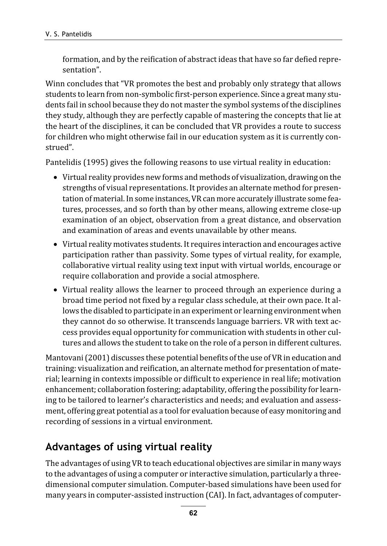formation, and by the reification of abstract ideas that have so far defied representation".

Winn concludes that "VR promotes the best and probably only strategy that allows students to learn from non-symbolic first-person experience. Since a great many students fail in school because they do not master the symbol systems of the disciplines they study, although they are perfectly capable of mastering the concepts that lie at the heart of the disciplines, it can be concluded that VR provides a route to success for children who might otherwise fail in our education system as it is currently construed".

Pantelidis (1995) gives the following reasons to use virtual reality in education:

- Virtual reality provides new forms and methods of visualization, drawing on the strengths of visual representations. It provides an alternate method for presentation of material. In some instances, VR can more accurately illustrate some features, processes, and so forth than by other means, allowing extreme close-up examination of an object, observation from a great distance, and observation and examination of areas and events unavailable by other means.
- Virtual reality motivates students. It requires interaction and encourages active participation rather than passivity. Some types of virtual reality, for example, collaborative virtual reality using text input with virtual worlds, encourage or require collaboration and provide a social atmosphere.
- Virtual reality allows the learner to proceed through an experience during a broad time period not fixed by a regular class schedule, at their own pace. It allows the disabled to participate in an experiment or learning environment when they cannot do so otherwise. It transcends language barriers. VR with text access provides equal opportunity for communication with students in other cultures and allows the student to take on the role of a person in different cultures.

Mantovani (2001) discusses these potential benefits of the use of VR in education and training: visualization and reification, an alternate method for presentation of material; learning in contexts impossible or difficult to experience in real life; motivation enhancement; collaboration fostering; adaptability, offering the possibility for learning to be tailored to learner's characteristics and needs; and evaluation and assessment, offering great potential as a tool for evaluation because of easy monitoring and recording of sessions in a virtual environment.

## Advantages of using virtual reality

The advantages of using VR to teach educational objectives are similar in many ways to the advantages of using a computer or interactive simulation, particularly a threedimensional computer simulation. Computer-based simulations have been used for many years in computer-assisted instruction (CAI). In fact, advantages of computer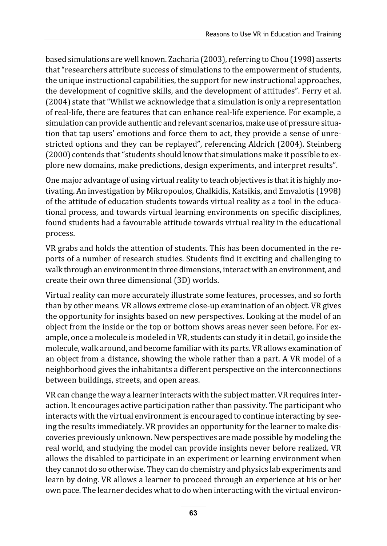based simulations are well known. Zacharia (2003), referring to Chou (1998) asserts that "researchers attribute success of simulations to the empowerment of students, the unique instructional capabilities, the support for new instructional approaches, the development of cognitive skills, and the development of attitudes". Ferry et al. (2004) state that "Whilst we acknowledge that a simulation is only a representation of real-life, there are features that can enhance real-life experience. For example, a simulation can provide authentic and relevant scenarios, make use of pressure situation that tap users' emotions and force them to act, they provide a sense of unrestricted options and they can be replayed", referencing Aldrich (2004). Steinberg (2000) contends that "students should know that simulations make it possible to explore new domains, make predictions, design experiments, and interpret results".

One major advantage of using virtual reality to teach objectives is that it is highly motivating. An investigation by Mikropoulos, Chalkidis, Katsikis, and Emvalotis (1998) of the attitude of education students towards virtual reality as a tool in the educational process, and towards virtual learning environments on specific disciplines, found students had a favourable attitude towards virtual reality in the educational process.

VR grabs and holds the attention of students. This has been documented in the reports of a number of research studies. Students find it exciting and challenging to walk through an environment in three dimensions, interact with an environment, and create their own three dimensional (3D) worlds.

Virtual reality can more accurately illustrate some features, processes, and so forth than by other means. VR allows extreme close-up examination of an object. VR gives the opportunity for insights based on new perspectives. Looking at the model of an object from the inside or the top or bottom shows areas never seen before. For example, once a molecule is modeled in VR, students can study it in detail, go inside the molecule, walk around, and become familiar with its parts. VR allows examination of an object from a distance, showing the whole rather than a part. A VR model of a neighborhood gives the inhabitants a different perspective on the interconnections between buildings, streets, and open areas.

VR can change the way a learner interacts with the subject matter. VR requires interaction. It encourages active participation rather than passivity. The participant who interacts with the virtual environment is encouraged to continue interacting by seeing the results immediately. VR provides an opportunity for the learner to make discoveries previously unknown. New perspectives are made possible by modeling the real world, and studying the model can provide insights never before realized. VR allows the disabled to participate in an experiment or learning environment when they cannot do so otherwise. They can do chemistry and physics lab experiments and learn by doing. VR allows a learner to proceed through an experience at his or her own pace. The learner decides what to do when interacting with the virtual environ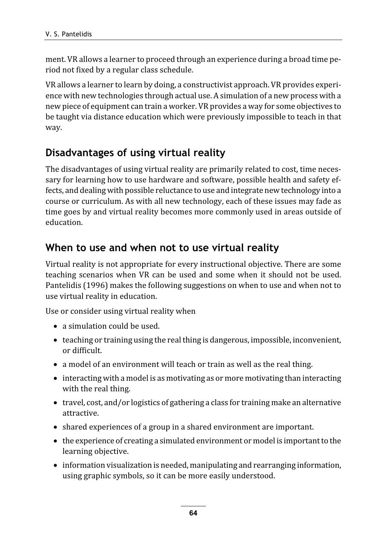ment. VR allows a learner to proceed through an experience during a broad time period not fixed by a regular class schedule.

VR allows a learner to learn by doing, a constructivist approach. VR provides experience with new technologies through actual use. A simulation of a new process with a new piece of equipment can train a worker. VR provides a way for some objectives to be taught via distance education which were previously impossible to teach in that way.

#### Disadvantages of using virtual reality

The disadvantages of using virtual reality are primarily related to cost, time necessary for learning how to use hardware and software, possible health and safety effects, and dealing with possible reluctance to use and integrate new technology into a course or curriculum. As with all new technology, each of these issues may fade as time goes by and virtual reality becomes more commonly used in areas outside of education.

#### When to use and when not to use virtual reality

Virtual reality is not appropriate for every instructional objective. There are some teaching scenarios when VR can be used and some when it should not be used. Pantelidis (1996) makes the following suggestions on when to use and when not to use virtual reality in education.

Use or consider using virtual reality when

- a simulation could be used.
- teaching or training using the real thing is dangerous, impossible, inconvenient, or difficult.
- a model of an environment will teach or train as well as the real thing.
- interacting with a model is as motivating as or more motivating than interacting with the real thing.
- travel, cost, and/or logistics of gathering a class for training make an alternative attractive.
- shared experiences of a group in a shared environment are important.
- the experience of creating a simulated environment or model is important to the learning objective.
- information visualization is needed, manipulating and rearranging information, using graphic symbols, so it can be more easily understood.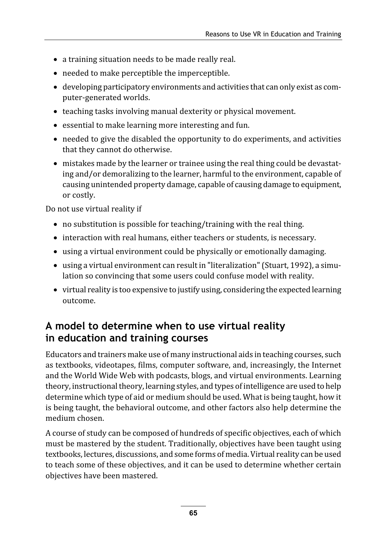- a training situation needs to be made really real.
- needed to make perceptible the imperceptible.
- developing participatory environments and activities that can only exist as computer-generated worlds.
- teaching tasks involving manual dexterity or physical movement.
- essential to make learning more interesting and fun.
- needed to give the disabled the opportunity to do experiments, and activities that they cannot do otherwise.
- mistakes made by the learner or trainee using the real thing could be devastating and/or demoralizing to the learner, harmful to the environment, capable of causing unintended property damage, capable of causing damage to equipment, or costly.

Do not use virtual reality if

- no substitution is possible for teaching/training with the real thing.
- interaction with real humans, either teachers or students, is necessary.
- using a virtual environment could be physically or emotionally damaging.
- using a virtual environment can result in "literalization" (Stuart, 1992), a simulation so convincing that some users could confuse model with reality.
- virtual reality is too expensive to justify using, considering the expected learning outcome.

## A model to determine when to use virtual reality in education and training courses

Educators and trainers make use of many instructional aids in teaching courses, such as textbooks, videotapes, films, computer software, and, increasingly, the Internet and the World Wide Web with podcasts, blogs, and virtual environments. Learning theory, instructional theory, learning styles, and types of intelligence are used to help determine which type of aid or medium should be used. What is being taught, how it is being taught, the behavioral outcome, and other factors also help determine the medium chosen.

A course of study can be composed of hundreds of specific objectives, each of which must be mastered by the student. Traditionally, objectives have been taught using textbooks, lectures, discussions, and some forms of media. Virtual reality can be used to teach some of these objectives, and it can be used to determine whether certain objectives have been mastered.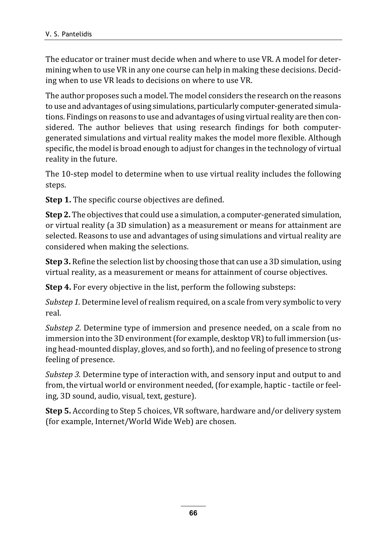The educator or trainer must decide when and where to use VR. A model for determining when to use VR in any one course can help in making these decisions. Deciding when to use VR leads to decisions on where to use VR.

The author proposes such a model. The model considers the research on the reasons to use and advantages of using simulations, particularly computer-generated simulations. Findings on reasons to use and advantages of using virtual reality are then considered. The author believes that using research findings for both computergenerated simulations and virtual reality makes the model more flexible. Although specific, the model is broad enough to adjust for changes in the technology of virtual reality in the future.

The 10-step model to determine when to use virtual reality includes the following steps.

Step 1. The specific course objectives are defined.

Step 2. The objectives that could use a simulation, a computer-generated simulation, or virtual reality (a 3D simulation) as a measurement or means for attainment are selected. Reasons to use and advantages of using simulations and virtual reality are considered when making the selections.

**Step 3.** Refine the selection list by choosing those that can use a 3D simulation, using virtual reality, as a measurement or means for attainment of course objectives.

Step 4. For every objective in the list, perform the following substeps:

Substep 1. Determine level of realism required, on a scale from very symbolic to very real.

Substep 2. Determine type of immersion and presence needed, on a scale from no immersion into the 3D environment (for example, desktop VR) to full immersion (using head-mounted display, gloves, and so forth), and no feeling of presence to strong feeling of presence.

Substep 3. Determine type of interaction with, and sensory input and output to and from, the virtual world or environment needed, (for example, haptic - tactile or feeling, 3D sound, audio, visual, text, gesture).

Step 5. According to Step 5 choices, VR software, hardware and/or delivery system (for example, Internet/World Wide Web) are chosen.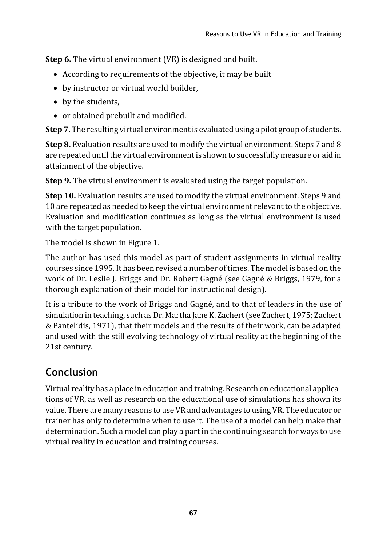Step 6. The virtual environment (VE) is designed and built.

- According to requirements of the objective, it may be built
- by instructor or virtual world builder,
- by the students,
- or obtained prebuilt and modified.

Step 7. The resulting virtual environment is evaluated using a pilot group of students.

Step 8. Evaluation results are used to modify the virtual environment. Steps 7 and 8 are repeated until the virtual environment is shown to successfully measure or aid in attainment of the objective.

Step 9. The virtual environment is evaluated using the target population.

Step 10. Evaluation results are used to modify the virtual environment. Steps 9 and 10 are repeated as needed to keep the virtual environment relevant to the objective. Evaluation and modification continues as long as the virtual environment is used with the target population.

The model is shown in Figure 1.

The author has used this model as part of student assignments in virtual reality courses since 1995. It has been revised a number of times. The model is based on the work of Dr. Leslie J. Briggs and Dr. Robert Gagné (see Gagné & Briggs, 1979, for a thorough explanation of their model for instructional design).

It is a tribute to the work of Briggs and Gagné, and to that of leaders in the use of simulation in teaching, such as Dr. Martha Jane K. Zachert (see Zachert, 1975; Zachert & Pantelidis, 1971), that their models and the results of their work, can be adapted and used with the still evolving technology of virtual reality at the beginning of the 21st century.

# Conclusion

Virtual reality has a place in education and training. Research on educational applications of VR, as well as research on the educational use of simulations has shown its value. There are many reasons to use VR and advantages to using VR. The educator or trainer has only to determine when to use it. The use of a model can help make that determination. Such a model can play a part in the continuing search for ways to use virtual reality in education and training courses.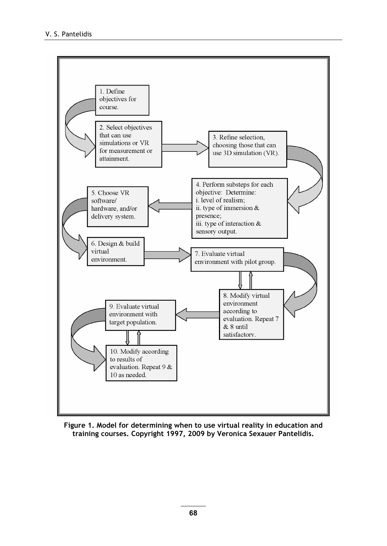

Figure 1. Model for determining when to use virtual reality in education and training courses. Copyright 1997, 2009 by Veronica Sexauer Pantelidis.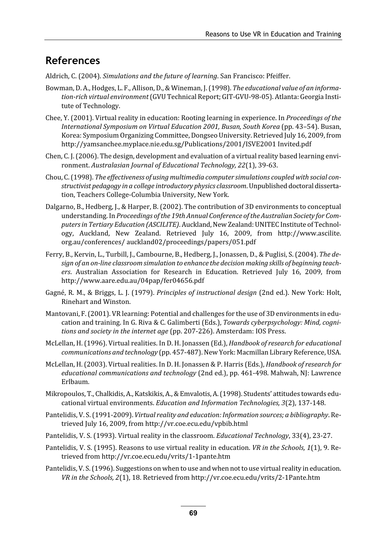#### References

Aldrich, C. (2004). Simulations and the future of learning. San Francisco: Pfeiffer.

- Bowman, D. A., Hodges, L. F., Allison, D., & Wineman, J. (1998). The educational value of an information-rich virtual environment (GVU Technical Report; GIT-GVU-98-05). Atlanta: Georgia Institute of Technology.
- Chee, Y. (2001). Virtual reality in education: Rooting learning in experience. In Proceedings of the International Symposium on Virtual Education 2001, Busan, South Korea (pp. 43–54). Busan, Korea: Symposium Organizing Committee, Dongseo University. Retrieved July 16, 2009, from http://yamsanchee.myplace.nie.edu.sg/Publications/2001/ISVE2001 Invited.pdf
- Chen, C. J. (2006). The design, development and evaluation of a virtual reality based learning environment. Australasian Journal of Educational Technology, 22(1), 39-63.
- Chou, C. (1998). The effectiveness of using multimedia computer simulations coupled with social constructivist pedagogy in a college introductory physics classroom. Unpublished doctoral dissertation, Teachers College-Columbia University, New York.
- Dalgarno, B., Hedberg, J., & Harper, B. (2002). The contribution of 3D environments to conceptual understanding. In Proceedings of the 19th Annual Conference of the Australian Society for Computers in Tertiary Education (ASCILITE). Auckland, New Zealand: UNITEC Institute of Technology, Auckland, New Zealand. Retrieved July 16, 2009, from http://www.ascilite. org.au/conferences/ auckland02/proceedings/papers/051.pdf
- Ferry, B., Kervin, L., Turbill, J., Cambourne, B., Hedberg, J., Jonassen, D., & Puglisi, S. (2004). The design of an on-line classroom simulation to enhance the decision making skills of beginning teachers. Australian Association for Research in Education. Retrieved July 16, 2009, from http://www.aare.edu.au/04pap/fer04656.pdf
- Gagné, R. M., & Briggs, L. J. (1979). Principles of instructional design (2nd ed.). New York: Holt, Rinehart and Winston.
- Mantovani, F. (2001). VR learning: Potential and challenges for the use of 3D environments in education and training. In G. Riva & C. Galimberti (Eds.), Towards cyberpsychology: Mind, cognitions and society in the internet age (pp. 207-226). Amsterdam: IOS Press.
- McLellan, H. (1996). Virtual realities. In D. H. Jonassen (Ed.), Handbook of research for educational communications and technology (pp. 457-487). New York: Macmillan Library Reference, USA.
- McLellan, H. (2003). Virtual realities. In D. H. Jonassen & P. Harris (Eds.), Handbook of research for educational communications and technology (2nd ed.), pp. 461-498. Mahwah, NJ: Lawrence Erlbaum.
- Mikropoulos, T., Chalkidis, A., Katskikis, A., & Emvalotis, A. (1998). Students' attitudes towards educational virtual environments. Education and Information Technologies, 3(2), 137-148.
- Pantelidis, V. S. (1991-2009). Virtual reality and education: Information sources; a bibliography. Retrieved July 16, 2009, from http://vr.coe.ecu.edu/vpbib.html
- Pantelidis, V. S. (1993). Virtual reality in the classroom. Educational Technology, 33(4), 23-27.
- Pantelidis, V. S. (1995). Reasons to use virtual reality in education. VR in the Schools, 1(1), 9. Retrieved from http://vr.coe.ecu.edu/vrits/1-1pante.htm
- Pantelidis, V. S. (1996). Suggestions on when to use and when not to use virtual reality in education. VR in the Schools, 2(1), 18. Retrieved from http://vr.coe.ecu.edu/vrits/2-1Pante.htm